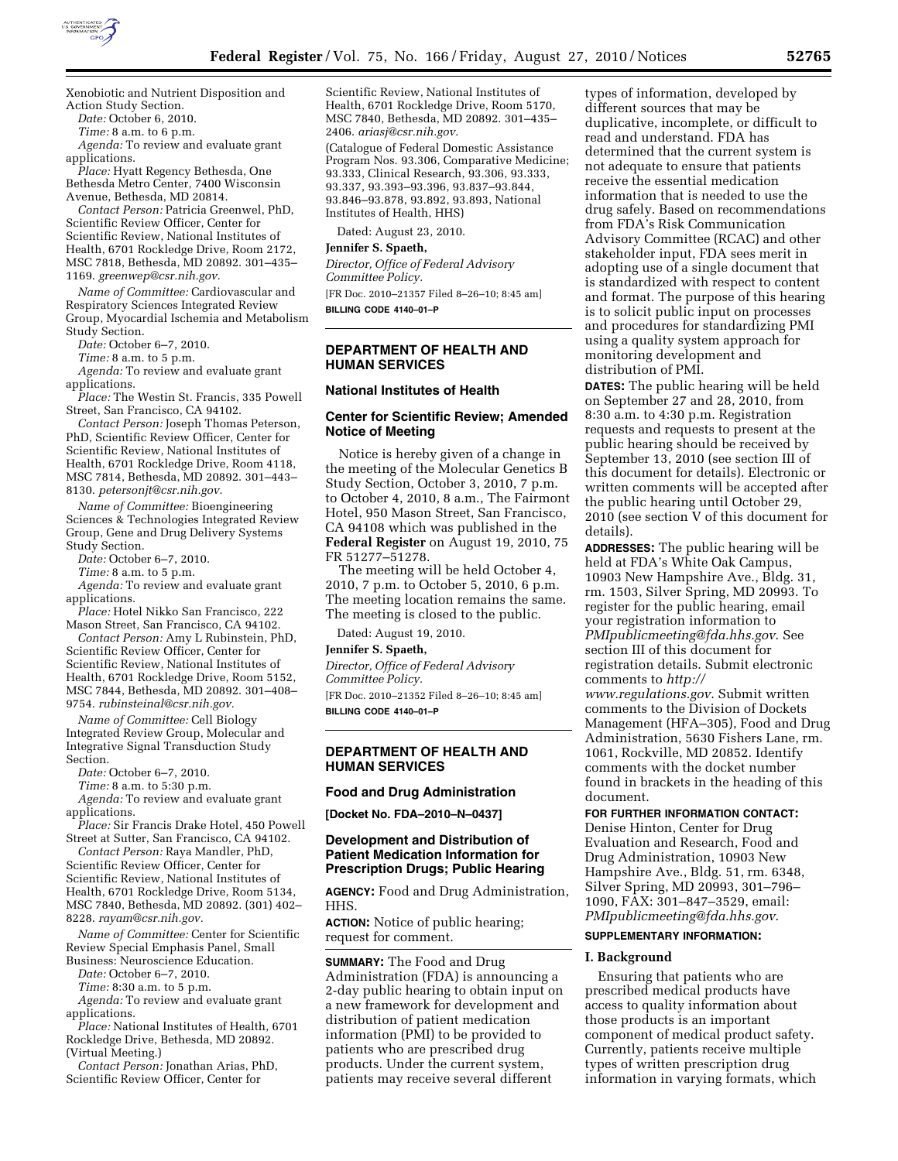

Xenobiotic and Nutrient Disposition and Action Study Section.

*Date:* October 6, 2010.

*Time:* 8 a.m. to 6 p.m.

*Agenda:* To review and evaluate grant applications.

*Place:* Hyatt Regency Bethesda, One Bethesda Metro Center, 7400 Wisconsin Avenue, Bethesda, MD 20814.

*Contact Person:* Patricia Greenwel, PhD, Scientific Review Officer, Center for Scientific Review, National Institutes of Health, 6701 Rockledge Drive, Room 2172, MSC 7818, Bethesda, MD 20892. 301–435– 1169. *[greenwep@csr.nih.gov.](mailto:greenwep@csr.nih.gov)* 

*Name of Committee:* Cardiovascular and Respiratory Sciences Integrated Review Group, Myocardial Ischemia and Metabolism Study Section.

*Date:* October 6–7, 2010.

*Time:* 8 a.m. to 5 p.m.

*Agenda:* To review and evaluate grant applications.

*Place:* The Westin St. Francis, 335 Powell Street, San Francisco, CA 94102.

*Contact Person:* Joseph Thomas Peterson, PhD, Scientific Review Officer, Center for Scientific Review, National Institutes of Health, 6701 Rockledge Drive, Room 4118, MSC 7814, Bethesda, MD 20892. 301–443– 8130. *[petersonjt@csr.nih.gov.](mailto:petersonjt@csr.nih.gov)* 

*Name of Committee:* Bioengineering Sciences & Technologies Integrated Review Group, Gene and Drug Delivery Systems Study Section.

*Date:* October 6–7, 2010.

*Time:* 8 a.m. to 5 p.m.

*Agenda:* To review and evaluate grant applications.

*Place:* Hotel Nikko San Francisco, 222 Mason Street, San Francisco, CA 94102. *Contact Person:* Amy L Rubinstein, PhD,

Scientific Review Officer, Center for Scientific Review, National Institutes of Health, 6701 Rockledge Drive, Room 5152, MSC 7844, Bethesda, MD 20892. 301–408– 9754. *[rubinsteinal@csr.nih.gov.](mailto:rubinsteinal@csr.nih.gov)* 

*Name of Committee:* Cell Biology Integrated Review Group, Molecular and Integrative Signal Transduction Study Section.

*Date:* October 6–7, 2010.

*Time:* 8 a.m. to 5:30 p.m.

*Agenda:* To review and evaluate grant applications.

*Place:* Sir Francis Drake Hotel, 450 Powell Street at Sutter, San Francisco, CA 94102.

*Contact Person:* Raya Mandler, PhD, Scientific Review Officer, Center for Scientific Review, National Institutes of Health, 6701 Rockledge Drive, Room 5134, MSC 7840, Bethesda, MD 20892. (301) 402– 8228. *[rayam@csr.nih.gov.](mailto:rayam@csr.nih.gov)* 

*Name of Committee:* Center for Scientific Review Special Emphasis Panel, Small Business: Neuroscience Education.

*Date:* October 6–7, 2010. *Time:* 8:30 a.m. to 5 p.m.

*Agenda:* To review and evaluate grant applications.

*Place:* National Institutes of Health, 6701 Rockledge Drive, Bethesda, MD 20892. (Virtual Meeting.)

*Contact Person:* Jonathan Arias, PhD, Scientific Review Officer, Center for

Scientific Review, National Institutes of Health, 6701 Rockledge Drive, Room 5170, MSC 7840, Bethesda, MD 20892. 301–435– 2406. *[ariasj@csr.nih.gov.](mailto:ariasj@csr.nih.gov)* 

(Catalogue of Federal Domestic Assistance Program Nos. 93.306, Comparative Medicine; 93.333, Clinical Research, 93.306, 93.333, 93.337, 93.393–93.396, 93.837–93.844, 93.846–93.878, 93.892, 93.893, National Institutes of Health, HHS)

Dated: August 23, 2010.

## **Jennifer S. Spaeth,**

*Director, Office of Federal Advisory Committee Policy.* 

[FR Doc. 2010–21357 Filed 8–26–10; 8:45 am] **BILLING CODE 4140–01–P** 

### **DEPARTMENT OF HEALTH AND HUMAN SERVICES**

#### **National Institutes of Health**

## **Center for Scientific Review; Amended Notice of Meeting**

Notice is hereby given of a change in the meeting of the Molecular Genetics B Study Section, October 3, 2010, 7 p.m. to October 4, 2010, 8 a.m., The Fairmont Hotel, 950 Mason Street, San Francisco, CA 94108 which was published in the **Federal Register** on August 19, 2010, 75 FR 51277–51278.

The meeting will be held October 4, 2010, 7 p.m. to October 5, 2010, 6 p.m. The meeting location remains the same. The meeting is closed to the public.

Dated: August 19, 2010.

#### **Jennifer S. Spaeth,**

*Director, Office of Federal Advisory Committee Policy.* 

[FR Doc. 2010–21352 Filed 8–26–10; 8:45 am] **BILLING CODE 4140–01–P** 

# **DEPARTMENT OF HEALTH AND HUMAN SERVICES**

**Food and Drug Administration** 

**[Docket No. FDA–2010–N–0437]** 

# **Development and Distribution of Patient Medication Information for Prescription Drugs; Public Hearing**

**AGENCY:** Food and Drug Administration, HHS.

**ACTION:** Notice of public hearing; request for comment.

**SUMMARY:** The Food and Drug Administration (FDA) is announcing a 2-day public hearing to obtain input on a new framework for development and distribution of patient medication information (PMI) to be provided to patients who are prescribed drug products. Under the current system, patients may receive several different

types of information, developed by different sources that may be duplicative, incomplete, or difficult to read and understand. FDA has determined that the current system is not adequate to ensure that patients receive the essential medication information that is needed to use the drug safely. Based on recommendations from FDA's Risk Communication Advisory Committee (RCAC) and other stakeholder input, FDA sees merit in adopting use of a single document that is standardized with respect to content and format. The purpose of this hearing is to solicit public input on processes and procedures for standardizing PMI using a quality system approach for monitoring development and distribution of PMI.

**DATES:** The public hearing will be held on September 27 and 28, 2010, from 8:30 a.m. to 4:30 p.m. Registration requests and requests to present at the public hearing should be received by September 13, 2010 (see section III of this document for details). Electronic or written comments will be accepted after the public hearing until October 29, 2010 (see section V of this document for details).

**ADDRESSES:** The public hearing will be held at FDA's White Oak Campus, 10903 New Hampshire Ave., Bldg. 31, rm. 1503, Silver Spring, MD 20993. To register for the public hearing, email your registration information to *[PMIpublicmeeting@fda.hhs.gov](mailto:PMIpublicmeeting@fda.hhs.gov)*. See section III of this document for registration details. Submit electronic comments to *[http://](http://www.regulations.gov)* 

*[www.regulations.gov](http://www.regulations.gov)*. Submit written comments to the Division of Dockets Management (HFA–305), Food and Drug Administration, 5630 Fishers Lane, rm. 1061, Rockville, MD 20852. Identify comments with the docket number found in brackets in the heading of this document.

# **FOR FURTHER INFORMATION CONTACT:**

Denise Hinton, Center for Drug Evaluation and Research, Food and Drug Administration, 10903 New Hampshire Ave., Bldg. 51, rm. 6348, Silver Spring, MD 20993, 301–796– 1090, FAX: 301–847–3529, email: *[PMIpublicmeeting@fda.hhs.gov](mailto:PMIpublicmeeting@fda.hhs.gov)*.

#### **SUPPLEMENTARY INFORMATION:**

### **I. Background**

Ensuring that patients who are prescribed medical products have access to quality information about those products is an important component of medical product safety. Currently, patients receive multiple types of written prescription drug information in varying formats, which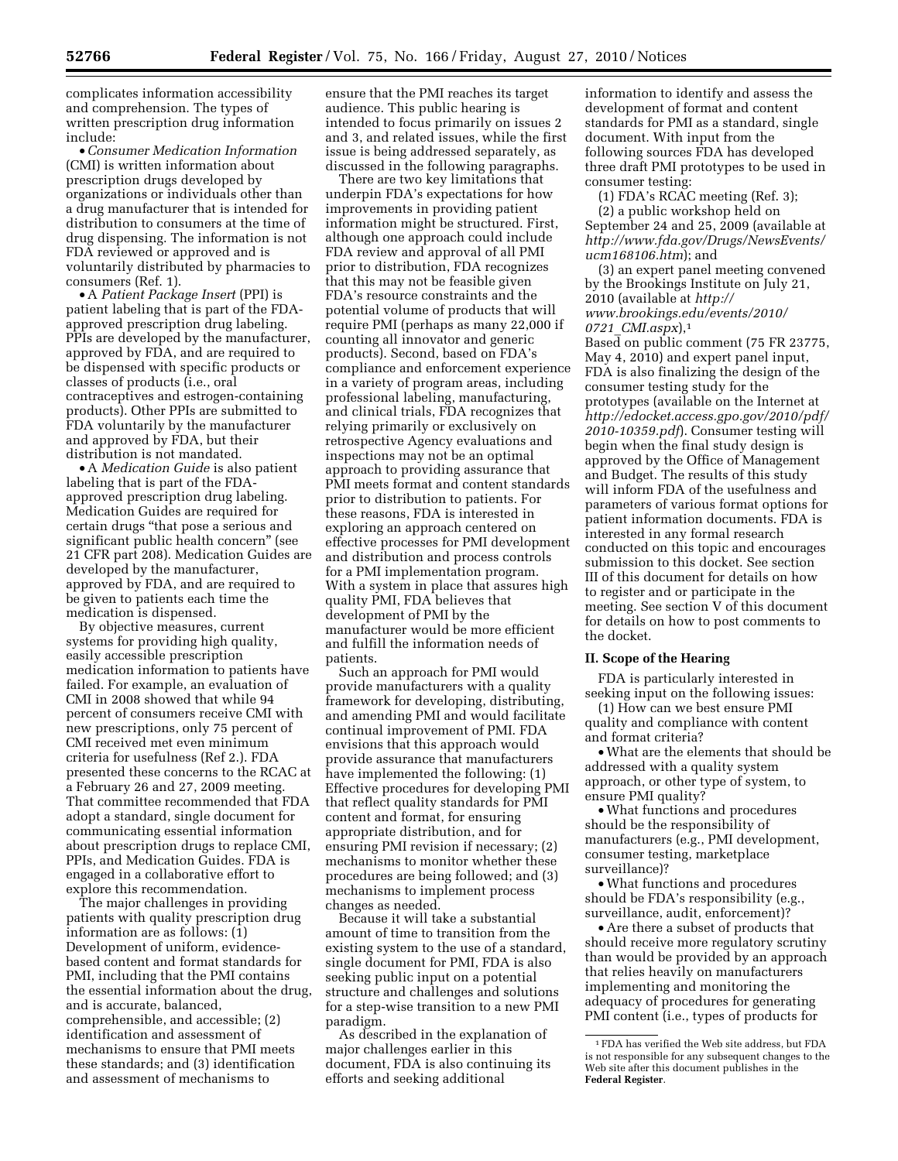complicates information accessibility and comprehension. The types of written prescription drug information include:

• *Consumer Medication Information*  (CMI) is written information about prescription drugs developed by organizations or individuals other than a drug manufacturer that is intended for distribution to consumers at the time of drug dispensing. The information is not FDA reviewed or approved and is voluntarily distributed by pharmacies to consumers (Ref. 1).

• A *Patient Package Insert* (PPI) is patient labeling that is part of the FDAapproved prescription drug labeling. PPIs are developed by the manufacturer, approved by FDA, and are required to be dispensed with specific products or classes of products (i.e., oral contraceptives and estrogen-containing products). Other PPIs are submitted to FDA voluntarily by the manufacturer and approved by FDA, but their distribution is not mandated.

• A *Medication Guide* is also patient labeling that is part of the FDAapproved prescription drug labeling. Medication Guides are required for certain drugs ''that pose a serious and significant public health concern'' (see 21 CFR part 208). Medication Guides are developed by the manufacturer, approved by FDA, and are required to be given to patients each time the medication is dispensed.

By objective measures, current systems for providing high quality, easily accessible prescription medication information to patients have failed. For example, an evaluation of CMI in 2008 showed that while 94 percent of consumers receive CMI with new prescriptions, only 75 percent of CMI received met even minimum criteria for usefulness (Ref 2.). FDA presented these concerns to the RCAC at a February 26 and 27, 2009 meeting. That committee recommended that FDA adopt a standard, single document for communicating essential information about prescription drugs to replace CMI, PPIs, and Medication Guides. FDA is engaged in a collaborative effort to explore this recommendation.

The major challenges in providing patients with quality prescription drug information are as follows: (1) Development of uniform, evidencebased content and format standards for PMI, including that the PMI contains the essential information about the drug, and is accurate, balanced, comprehensible, and accessible; (2) identification and assessment of mechanisms to ensure that PMI meets these standards; and (3) identification and assessment of mechanisms to

ensure that the PMI reaches its target audience. This public hearing is intended to focus primarily on issues 2 and 3, and related issues, while the first issue is being addressed separately, as discussed in the following paragraphs.

There are two key limitations that underpin FDA's expectations for how improvements in providing patient information might be structured. First, although one approach could include FDA review and approval of all PMI prior to distribution, FDA recognizes that this may not be feasible given FDA's resource constraints and the potential volume of products that will require PMI (perhaps as many 22,000 if counting all innovator and generic products). Second, based on FDA's compliance and enforcement experience in a variety of program areas, including professional labeling, manufacturing, and clinical trials, FDA recognizes that relying primarily or exclusively on retrospective Agency evaluations and inspections may not be an optimal approach to providing assurance that PMI meets format and content standards prior to distribution to patients. For these reasons, FDA is interested in exploring an approach centered on effective processes for PMI development and distribution and process controls for a PMI implementation program. With a system in place that assures high quality PMI, FDA believes that development of PMI by the manufacturer would be more efficient and fulfill the information needs of patients.

Such an approach for PMI would provide manufacturers with a quality framework for developing, distributing, and amending PMI and would facilitate continual improvement of PMI. FDA envisions that this approach would provide assurance that manufacturers have implemented the following: (1) Effective procedures for developing PMI that reflect quality standards for PMI content and format, for ensuring appropriate distribution, and for ensuring PMI revision if necessary; (2) mechanisms to monitor whether these procedures are being followed; and (3) mechanisms to implement process changes as needed.

Because it will take a substantial amount of time to transition from the existing system to the use of a standard, single document for PMI, FDA is also seeking public input on a potential structure and challenges and solutions for a step-wise transition to a new PMI paradigm.

As described in the explanation of major challenges earlier in this document, FDA is also continuing its efforts and seeking additional

information to identify and assess the development of format and content standards for PMI as a standard, single document. With input from the following sources FDA has developed three draft PMI prototypes to be used in consumer testing:

(1) FDA's RCAC meeting (Ref. 3); (2) a public workshop held on September 24 and 25, 2009 (available at *[http://www.fda.gov/Drugs/NewsEvents/](http://www.fda.gov/Drugs/NewsEvents/ucm168106.htm)  [ucm168106.htm](http://www.fda.gov/Drugs/NewsEvents/ucm168106.htm)*); and

(3) an expert panel meeting convened by the Brookings Institute on July 21, 2010 (available at *[http://](http://www.brookings.edu/events/2010/0721_CMI.aspx) [www.brookings.edu/events/2010/](http://www.brookings.edu/events/2010/0721_CMI.aspx) 0721*\_*[CMI.aspx](http://www.brookings.edu/events/2010/0721_CMI.aspx)*),1

Based on public comment (75 FR 23775, May 4, 2010) and expert panel input, FDA is also finalizing the design of the consumer testing study for the prototypes (available on the Internet at *[http://edocket.access.gpo.gov/2010/pdf/](http://edocket.access.gpo.gov/2010/pdf/2010-10359.pdf) [2010-10359.pdf](http://edocket.access.gpo.gov/2010/pdf/2010-10359.pdf)*). Consumer testing will begin when the final study design is approved by the Office of Management and Budget. The results of this study will inform FDA of the usefulness and parameters of various format options for patient information documents. FDA is interested in any formal research conducted on this topic and encourages submission to this docket. See section III of this document for details on how to register and or participate in the meeting. See section V of this document for details on how to post comments to the docket.

## **II. Scope of the Hearing**

FDA is particularly interested in seeking input on the following issues:

(1) How can we best ensure PMI quality and compliance with content and format criteria?

• What are the elements that should be addressed with a quality system approach, or other type of system, to ensure PMI quality?

• What functions and procedures should be the responsibility of manufacturers (e.g., PMI development, consumer testing, marketplace surveillance)?

• What functions and procedures should be FDA's responsibility (e.g., surveillance, audit, enforcement)?

• Are there a subset of products that should receive more regulatory scrutiny than would be provided by an approach that relies heavily on manufacturers implementing and monitoring the adequacy of procedures for generating PMI content (i.e., types of products for

<sup>1</sup>FDA has verified the Web site address, but FDA is not responsible for any subsequent changes to the Web site after this document publishes in the **Federal Register**.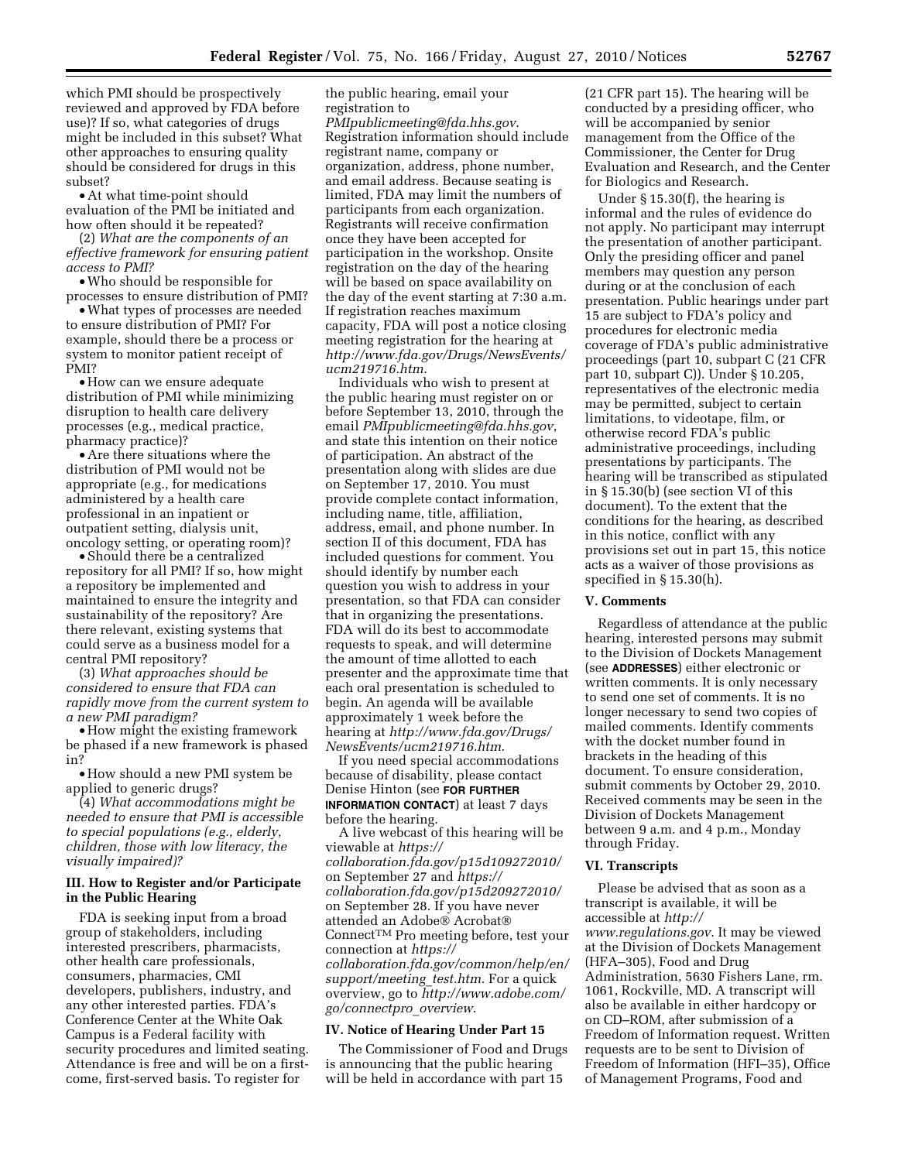which PMI should be prospectively reviewed and approved by FDA before use)? If so, what categories of drugs might be included in this subset? What other approaches to ensuring quality should be considered for drugs in this subset?

• At what time-point should evaluation of the PMI be initiated and how often should it be repeated?

(2) *What are the components of an effective framework for ensuring patient access to PMI?* 

• Who should be responsible for processes to ensure distribution of PMI?

• What types of processes are needed to ensure distribution of PMI? For example, should there be a process or system to monitor patient receipt of PMI?

• How can we ensure adequate distribution of PMI while minimizing disruption to health care delivery processes (e.g., medical practice, pharmacy practice)?

• Are there situations where the distribution of PMI would not be appropriate (e.g., for medications administered by a health care professional in an inpatient or outpatient setting, dialysis unit, oncology setting, or operating room)?

• Should there be a centralized repository for all PMI? If so, how might a repository be implemented and maintained to ensure the integrity and sustainability of the repository? Are there relevant, existing systems that could serve as a business model for a central PMI repository?

(3) *What approaches should be considered to ensure that FDA can rapidly move from the current system to a new PMI paradigm?* 

• How might the existing framework be phased if a new framework is phased in?

• How should a new PMI system be applied to generic drugs?

(4) *What accommodations might be needed to ensure that PMI is accessible to special populations (e.g., elderly, children, those with low literacy, the visually impaired)?* 

# **III. How to Register and/or Participate in the Public Hearing**

FDA is seeking input from a broad group of stakeholders, including interested prescribers, pharmacists, other health care professionals, consumers, pharmacies, CMI developers, publishers, industry, and any other interested parties. FDA's Conference Center at the White Oak Campus is a Federal facility with security procedures and limited seating. Attendance is free and will be on a firstcome, first-served basis. To register for

the public hearing, email your registration to

*[PMIpublicmeeting@fda.hhs.gov](mailto:PMIpublicmeeting@fda.hhs.gov)*. Registration information should include registrant name, company or organization, address, phone number, and email address. Because seating is limited, FDA may limit the numbers of participants from each organization. Registrants will receive confirmation once they have been accepted for participation in the workshop. Onsite registration on the day of the hearing will be based on space availability on the day of the event starting at 7:30 a.m. If registration reaches maximum capacity, FDA will post a notice closing meeting registration for the hearing at *[http://www.fda.gov/Drugs/NewsEvents/](http://www.fda.gov/Drugs/NewsEvents/ucm219716.htm)  [ucm219716.htm](http://www.fda.gov/Drugs/NewsEvents/ucm219716.htm)*.

Individuals who wish to present at the public hearing must register on or before September 13, 2010, through the email *[PMIpublicmeeting@fda.hhs.gov](mailto:PMIpublicmeeting@fda.hhs.gov)*, and state this intention on their notice of participation. An abstract of the presentation along with slides are due on September 17, 2010. You must provide complete contact information, including name, title, affiliation, address, email, and phone number. In section II of this document, FDA has included questions for comment. You should identify by number each question you wish to address in your presentation, so that FDA can consider that in organizing the presentations. FDA will do its best to accommodate requests to speak, and will determine the amount of time allotted to each presenter and the approximate time that each oral presentation is scheduled to begin. An agenda will be available approximately 1 week before the hearing at *[http://www.fda.gov/Drugs/](http://www.fda.gov/Drugs/NewsEvents/ucm219716.htm) [NewsEvents/ucm219716.htm](http://www.fda.gov/Drugs/NewsEvents/ucm219716.htm)*.

If you need special accommodations because of disability, please contact Denise Hinton (see **FOR FURTHER INFORMATION CONTACT**) at least 7 days before the hearing.

A live webcast of this hearing will be viewable at *[https://](https://collaboration.fda.gov/p15d109272010/)  [collaboration.fda.gov/p15d109272010/](https://collaboration.fda.gov/p15d109272010/)*  on September 27 and *[https://](https://collaboration.fda.gov/p15d209272010/) [collaboration.fda.gov/p15d209272010/](https://collaboration.fda.gov/p15d209272010/)*  on September 28. If you have never attended an Adobe® Acrobat® ConnectTM Pro meeting before, test your connection at *[https://](https://collaboration.fda.gov/common/help/en/support/meeting_test.htm)  [collaboration.fda.gov/common/help/en/](https://collaboration.fda.gov/common/help/en/support/meeting_test.htm) [support/meeting](https://collaboration.fda.gov/common/help/en/support/meeting_test.htm)*\_*test.htm*. For a quick overview, go to *[http://www.adobe.com/](http://www.adobe.com/go/connectpro_overview) [go/connectpro](http://www.adobe.com/go/connectpro_overview)*\_*overview*.

### **IV. Notice of Hearing Under Part 15**

The Commissioner of Food and Drugs is announcing that the public hearing will be held in accordance with part 15

(21 CFR part 15). The hearing will be conducted by a presiding officer, who will be accompanied by senior management from the Office of the Commissioner, the Center for Drug Evaluation and Research, and the Center for Biologics and Research.

Under § 15.30(f), the hearing is informal and the rules of evidence do not apply. No participant may interrupt the presentation of another participant. Only the presiding officer and panel members may question any person during or at the conclusion of each presentation. Public hearings under part 15 are subject to FDA's policy and procedures for electronic media coverage of FDA's public administrative proceedings (part 10, subpart C (21 CFR part 10, subpart C)). Under § 10.205, representatives of the electronic media may be permitted, subject to certain limitations, to videotape, film, or otherwise record FDA's public administrative proceedings, including presentations by participants. The hearing will be transcribed as stipulated in § 15.30(b) (see section VI of this document). To the extent that the conditions for the hearing, as described in this notice, conflict with any provisions set out in part 15, this notice acts as a waiver of those provisions as specified in § 15.30(h).

#### **V. Comments**

Regardless of attendance at the public hearing, interested persons may submit to the Division of Dockets Management (see **ADDRESSES**) either electronic or written comments. It is only necessary to send one set of comments. It is no longer necessary to send two copies of mailed comments. Identify comments with the docket number found in brackets in the heading of this document. To ensure consideration, submit comments by October 29, 2010. Received comments may be seen in the Division of Dockets Management between 9 a.m. and 4 p.m., Monday through Friday.

#### **VI. Transcripts**

Please be advised that as soon as a transcript is available, it will be accessible at *[http://](http://www.regulations.gov) [www.regulations.gov](http://www.regulations.gov)*. It may be viewed at the Division of Dockets Management (HFA–305), Food and Drug Administration, 5630 Fishers Lane, rm. 1061, Rockville, MD. A transcript will also be available in either hardcopy or on CD–ROM, after submission of a Freedom of Information request. Written requests are to be sent to Division of Freedom of Information (HFI–35), Office of Management Programs, Food and